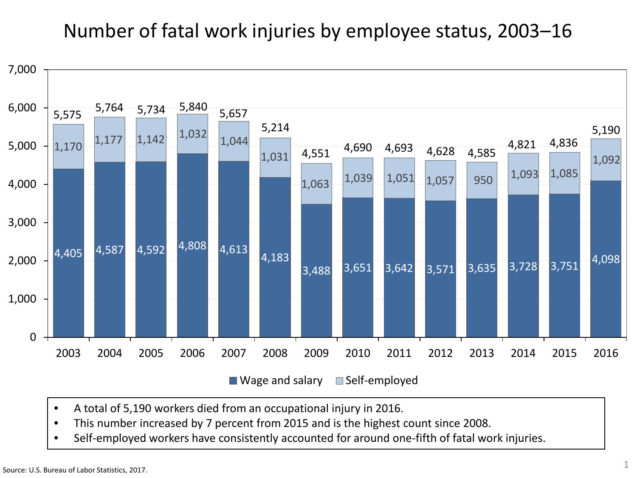#### Number of fatal work injuries by employee status, 2003–16



- A total of 5,190 workers died from an occupational injury in 2016.
- This number increased by 7 percent from 2015 and is the highest count since 2008.
- Self-employed workers have consistently accounted for around one-fifth of fatal work injuries.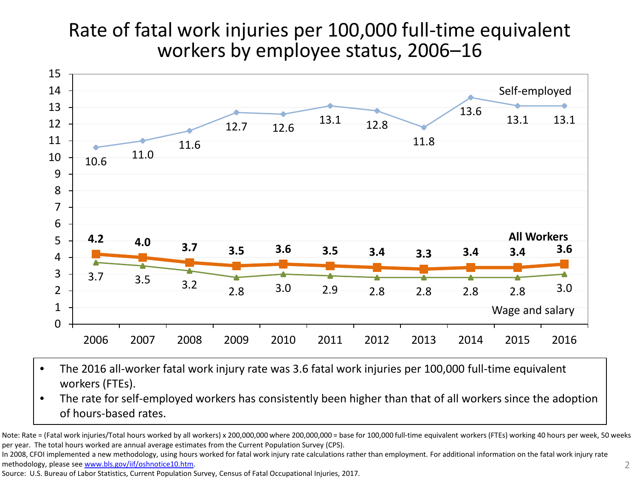#### Rate of fatal work injuries per 100,000 full-time equivalent workers by employee status, 2006–16



- The 2016 all-worker fatal work injury rate was 3.6 fatal work injuries per 100,000 full-time equivalent workers (FTEs).
- The rate for self-employed workers has consistently been higher than that of all workers since the adoption of hours-based rates.

Note: Rate = (Fatal work injuries/Total hours worked by all workers) x 200,000,000 where 200,000,000 = base for 100,000 full-time equivalent workers (FTEs) working 40 hours per week, 50 weeks per year. The total hours worked are annual average estimates from the Current Population Survey (CPS).

In 2008, CFOI implemented a new methodology, using hours worked for fatal work injury rate calculations rather than employment. For additional information on the fatal work injury rate methodology, please see [www.bls.gov/iif/oshnotice10.htm.](http://www.bls.gov/iif/oshnotice10.htm)

Source: U.S. Bureau of Labor Statistics, Current Population Survey, Census of Fatal Occupational Injuries, 2017.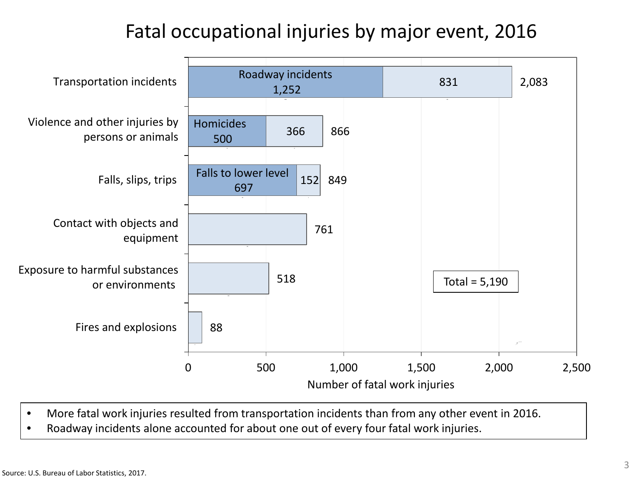### Fatal occupational injuries by major event, 2016



- More fatal work injuries resulted from transportation incidents than from any other event in 2016.
- Roadway incidents alone accounted for about one out of every four fatal work injuries.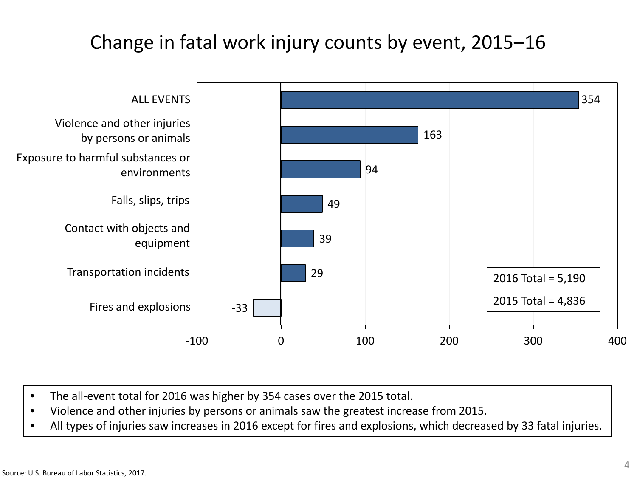### Change in fatal work injury counts by event, 2015–16



- The all-event total for 2016 was higher by 354 cases over the 2015 total.
- Violence and other injuries by persons or animals saw the greatest increase from 2015.
- All types of injuries saw increases in 2016 except for fires and explosions, which decreased by 33 fatal injuries.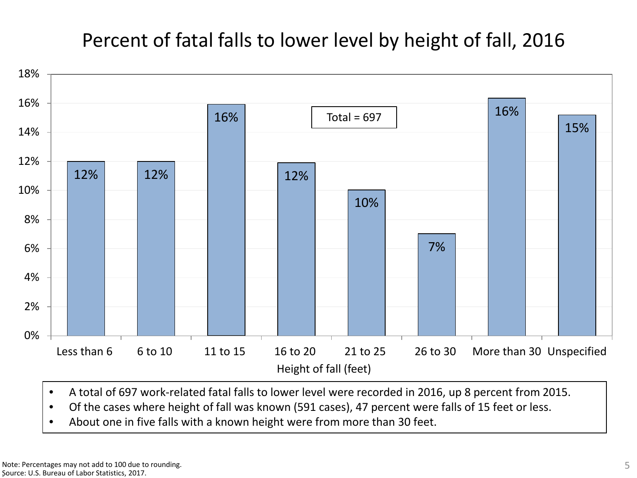### Percent of fatal falls to lower level by height of fall, 2016



- A total of 697 work-related fatal falls to lower level were recorded in 2016, up 8 percent from 2015.
- Of the cases where height of fall was known (591 cases), 47 percent were falls of 15 feet or less.
- About one in five falls with a known height were from more than 30 feet.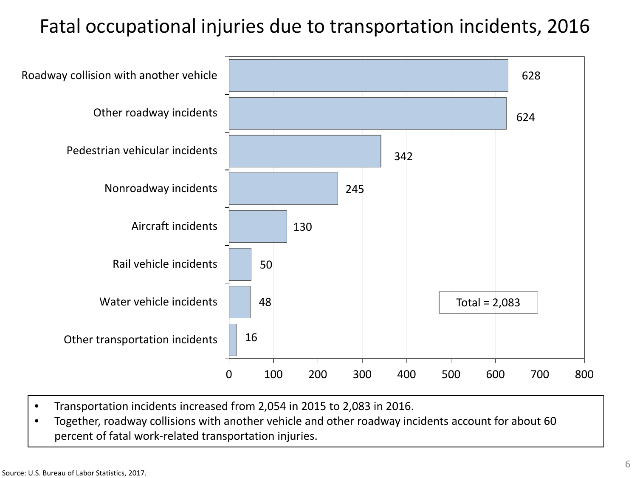### Fatal occupational injuries due to transportation incidents, 2016



- Transportation incidents increased from 2,054 in 2015 to 2,083 in 2016.
- Together, roadway collisions with another vehicle and other roadway incidents account for about 60 percent of fatal work-related transportation injuries.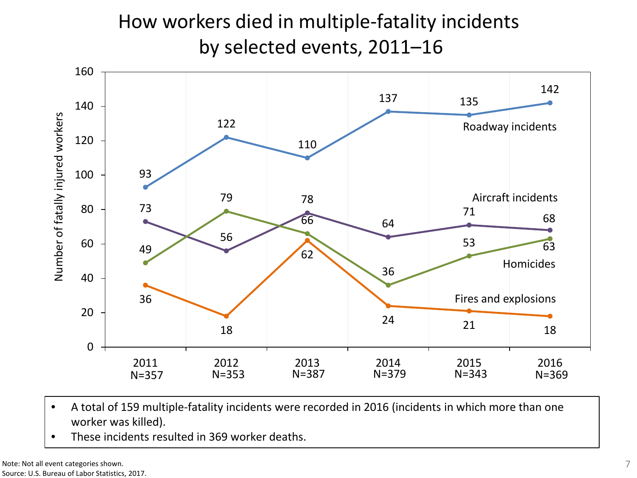## How workers died in multiple-fatality incidents by selected events, 2011–16



- A total of 159 multiple-fatality incidents were recorded in 2016 (incidents in which more than one worker was killed).
- These incidents resulted in 369 worker deaths.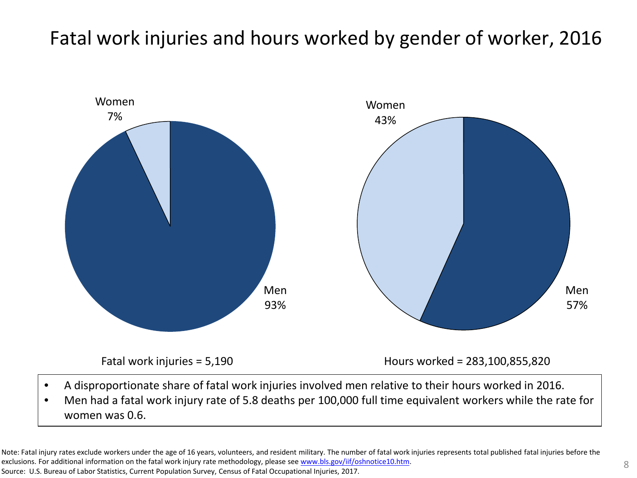#### Fatal work injuries and hours worked by gender of worker, 2016



- A disproportionate share of fatal work injuries involved men relative to their hours worked in 2016.
- Men had a fatal work injury rate of 5.8 deaths per 100,000 full time equivalent workers while the rate for women was 0.6.

Note: Fatal injury rates exclude workers under the age of 16 years, volunteers, and resident military. The number of fatal work injuries represents total published fatal injuries before the exclusions. For additional information on the fatal work injury rate methodology, please see [www.bls.gov/iif/oshnotice10.htm.](http://www.bls.gov/iif/oshnotice10.htm) Source: U.S. Bureau of Labor Statistics, Current Population Survey, Census of Fatal Occupational Injuries, 2017.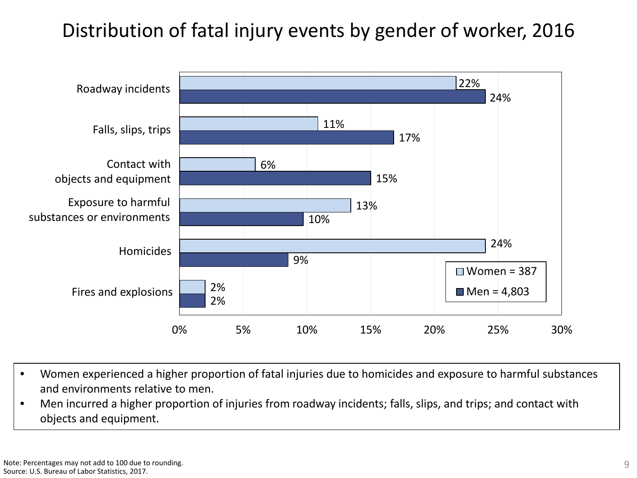### Distribution of fatal injury events by gender of worker, 2016



- Women experienced a higher proportion of fatal injuries due to homicides and exposure to harmful substances and environments relative to men.
- Men incurred a higher proportion of injuries from roadway incidents; falls, slips, and trips; and contact with objects and equipment.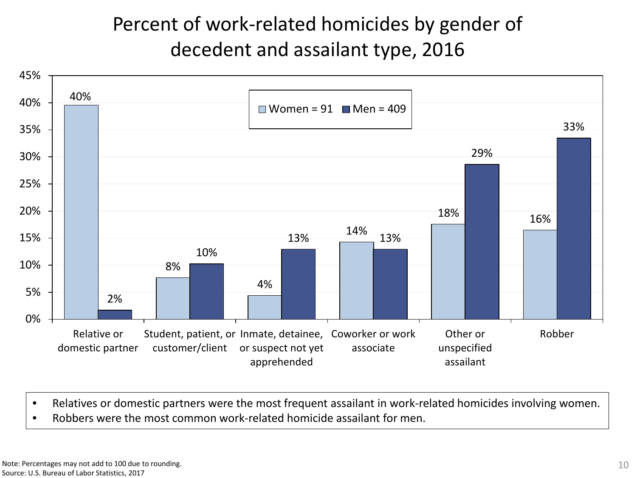# Percent of work-related homicides by gender of decedent and assailant type, 2016



- Relatives or domestic partners were the most frequent assailant in work-related homicides involving women.
- Robbers were the most common work-related homicide assailant for men.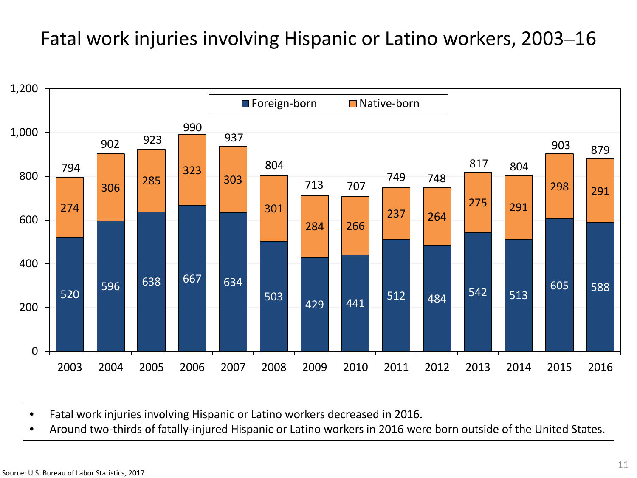#### Fatal work injuries involving Hispanic or Latino workers, 2003–16



• Fatal work injuries involving Hispanic or Latino workers decreased in 2016.

• Around two-thirds of fatally-injured Hispanic or Latino workers in 2016 were born outside of the United States.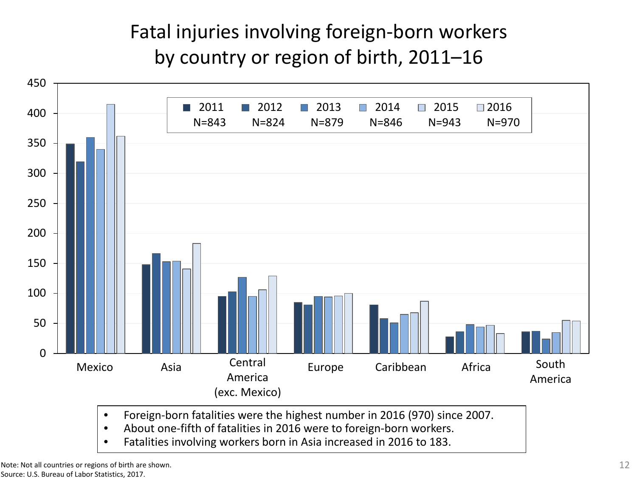# Fatal injuries involving foreign-born workers by country or region of birth, 2011–16



- Foreign-born fatalities were the highest number in 2016 (970) since 2007.
- About one-fifth of fatalities in 2016 were to foreign-born workers.
- Fatalities involving workers born in Asia increased in 2016 to 183.

Note: Not all countries or regions of birth are shown. Source: U.S. Bureau of Labor Statistics, 2017.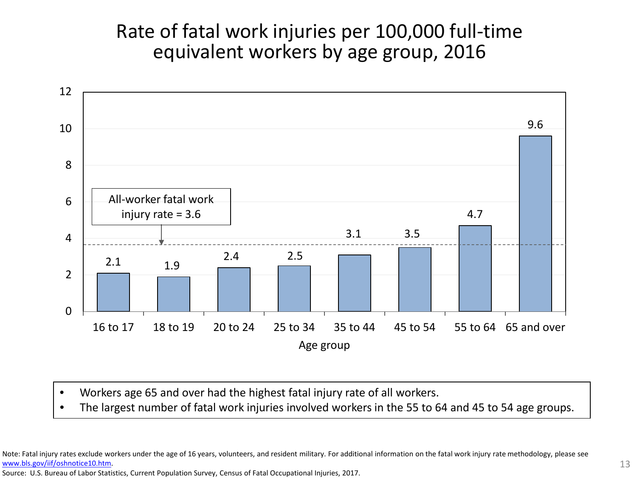#### Rate of fatal work injuries per 100,000 full-time equivalent workers by age group, 2016



- Workers age 65 and over had the highest fatal injury rate of all workers.
- The largest number of fatal work injuries involved workers in the 55 to 64 and 45 to 54 age groups.

Note: Fatal injury rates exclude workers under the age of 16 years, volunteers, and resident military. For additional information on the fatal work injury rate methodology, please see [www.bls.gov/iif/oshnotice10.htm.](http://www.bls.gov/iif/oshnotice10.htm)

Source: U.S. Bureau of Labor Statistics, Current Population Survey, Census of Fatal Occupational Injuries, 2017.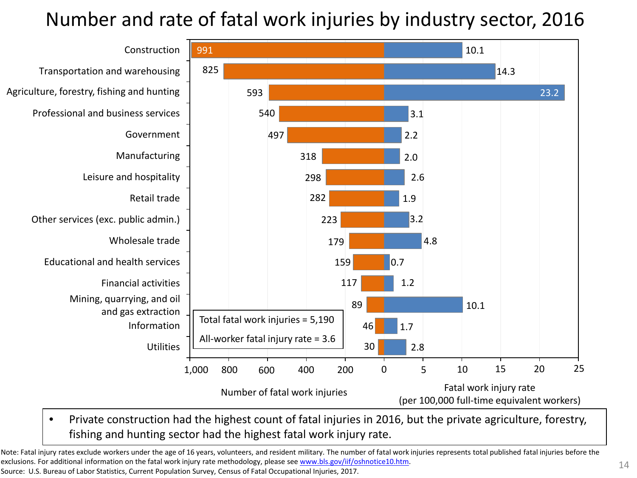### Number and rate of fatal work injuries by industry sector, 2016



• Private construction had the highest count of fatal injuries in 2016, but the private agriculture, forestry, fishing and hunting sector had the highest fatal work injury rate.

Note: Fatal injury rates exclude workers under the age of 16 years, volunteers, and resident military. The number of fatal work injuries represents total published fatal injuries before the exclusions. For additional information on the fatal work injury rate methodology, please see [www.bls.gov/iif/oshnotice10.htm](http://www.bls.gov/iif/oshnotice10.htm).

Source: U.S. Bureau of Labor Statistics, Current Population Survey, Census of Fatal Occupational Injuries, 2017.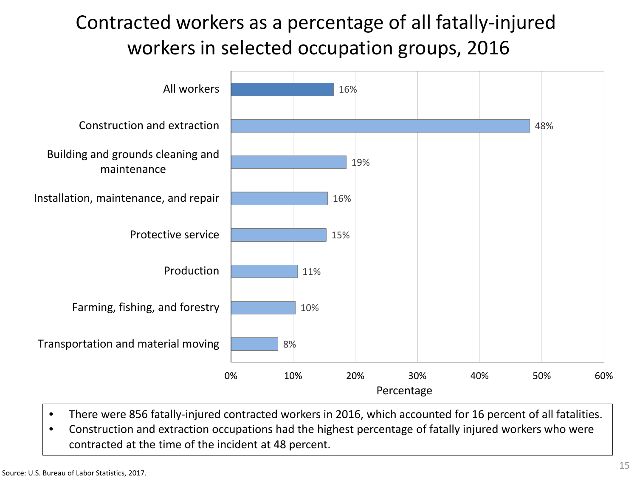# Contracted workers as a percentage of all fatally-injured workers in selected occupation groups, 2016



- There were 856 fatally-injured contracted workers in 2016, which accounted for 16 percent of all fatalities.
- Construction and extraction occupations had the highest percentage of fatally injured workers who were contracted at the time of the incident at 48 percent.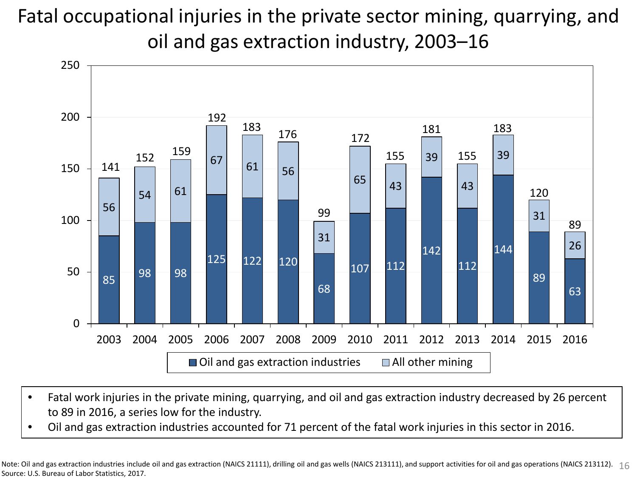Fatal occupational injuries in the private sector mining, quarrying, and oil and gas extraction industry, 2003–16



- Fatal work injuries in the private mining, quarrying, and oil and gas extraction industry decreased by 26 percent to 89 in 2016, a series low for the industry.
- Oil and gas extraction industries accounted for 71 percent of the fatal work injuries in this sector in 2016.

Note: Oil and gas extraction industries include oil and gas extraction (NAICS 21111), drilling oil and gas wells (NAICS 213111), and support activities for oil and gas operations (NAICS 213112). 16 Source: U.S. Bureau of Labor Statistics, 2017.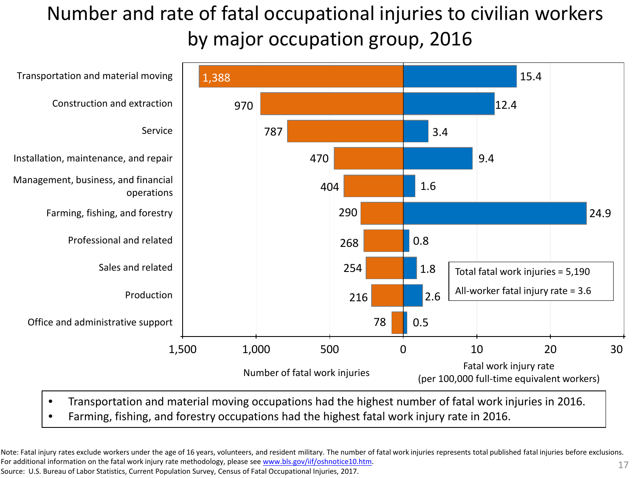# Number and rate of fatal occupational injuries to civilian workers by major occupation group, 2016



- Transportation and material moving occupations had the highest number of fatal work injuries in 2016.
- Farming, fishing, and forestry occupations had the highest fatal work injury rate in 2016.

Note: Fatal injury rates exclude workers under the age of 16 years, volunteers, and resident military. The number of fatal work injuries represents total published fatal injuries before exclusions. For additional information on the fatal work injury rate methodology, please see [www.bls.gov/iif/oshnotice10.htm](http://www.bls.gov/iif/oshnotice10.htm). 17

Source: U.S. Bureau of Labor Statistics, Current Population Survey, Census of Fatal Occupational Injuries, 2017.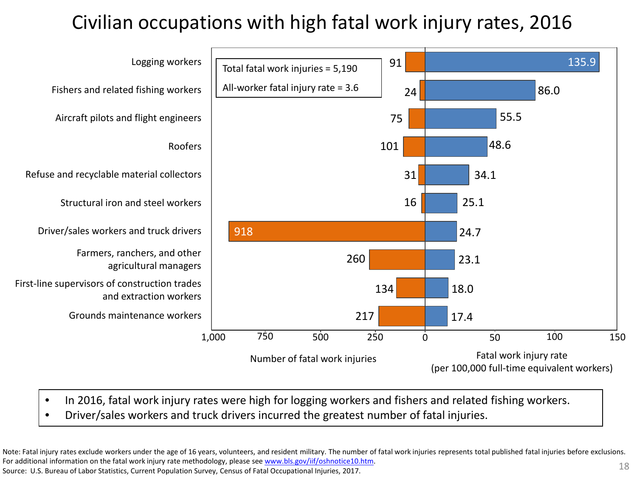# Civilian occupations with high fatal work injury rates, 2016



- In 2016, fatal work injury rates were high for logging workers and fishers and related fishing workers.
- Driver/sales workers and truck drivers incurred the greatest number of fatal injuries.

Note: Fatal injury rates exclude workers under the age of 16 years, volunteers, and resident military. The number of fatal work injuries represents total published fatal injuries before exclusions. For additional information on the fatal work injury rate methodology, please see [www.bls.gov/iif/oshnotice10.htm](http://www.bls.gov/iif/oshnotice10.htm). Source: U.S. Bureau of Labor Statistics, Current Population Survey, Census of Fatal Occupational Injuries, 2017. 18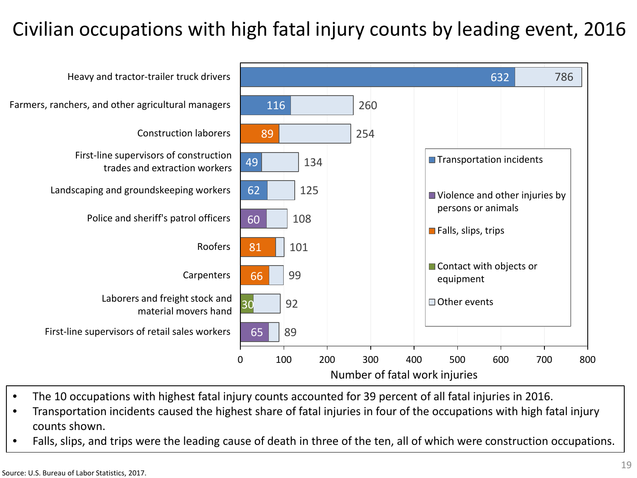## Civilian occupations with high fatal injury counts by leading event, 2016



- The 10 occupations with highest fatal injury counts accounted for 39 percent of all fatal injuries in 2016.
- Transportation incidents caused the highest share of fatal injuries in four of the occupations with high fatal injury counts shown.
- Falls, slips, and trips were the leading cause of death in three of the ten, all of which were construction occupations.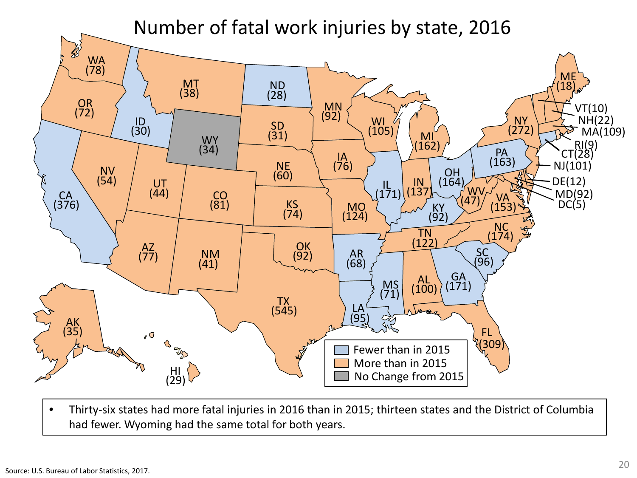#### Number of fatal work injuries by state, 2016



• Thirty-six states had more fatal injuries in 2016 than in 2015; thirteen states and the District of Columbia had fewer. Wyoming had the same total for both years.